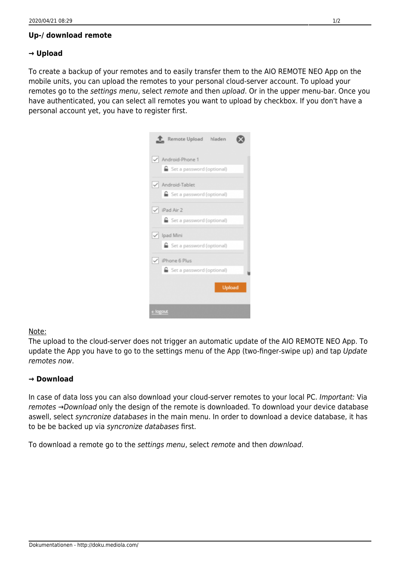## **Up-/ download remote**

## **→ Upload**

To create a backup of your remotes and to easily transfer them to the AIO REMOTE NEO App on the mobile units, you can upload the remotes to your personal cloud-server account. To upload your remotes go to the settings menu, select remote and then upload. Or in the upper menu-bar. Once you have authenticated, you can select all remotes you want to upload by checkbox. If you don't have a personal account yet, you have to register first.

| Remote Upload hladen                               |
|----------------------------------------------------|
| Android-Phone 1                                    |
| Set a password (optional)                          |
| √ Android-Tablet<br>Set a password (optional)      |
| $\sqrt{$ iPad Air 2                                |
| <b>■</b> Set a password (optional)                 |
| $\sqrt{}$ Ipad Mini<br>■ Set a password (optional) |
| V iPhone 6 Plus                                    |
| Set a password (optional)                          |
| <b>Upload</b>                                      |
| ← logout                                           |

## Note:

The upload to the cloud-server does not trigger an automatic update of the AIO REMOTE NEO App. To update the App you have to go to the settings menu of the App (two-finger-swipe up) and tap Update remotes now.

## **→ Download**

In case of data loss you can also download your cloud-server remotes to your local PC. Important: Via remotes →Download only the design of the remote is downloaded. To download your device database aswell, select syncronize databases in the main menu. In order to download a device database, it has to be be backed up via syncronize databases first.

To download a remote go to the settings menu, select remote and then download.